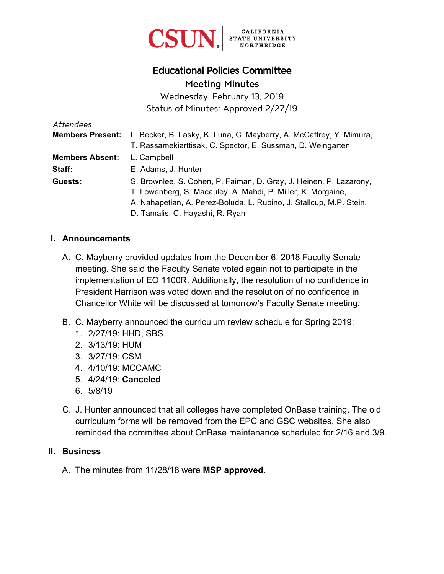

# Educational Policies Committee Meeting Minutes

Wednesday, February 13, 2019 Status of Minutes: Approved 2/27/19

| Attendees               |                                                                     |
|-------------------------|---------------------------------------------------------------------|
| <b>Members Present:</b> | L. Becker, B. Lasky, K. Luna, C. Mayberry, A. McCaffrey, Y. Mimura, |
|                         | T. Rassamekiarttisak, C. Spector, E. Sussman, D. Weingarten         |
| <b>Members Absent:</b>  | L. Campbell                                                         |
| Staff:                  | E. Adams, J. Hunter                                                 |
| Guests:                 | S. Brownlee, S. Cohen, P. Faiman, D. Gray, J. Heinen, P. Lazarony,  |
|                         | T. Lowenberg, S. Macauley, A. Mahdi, P. Miller, K. Morgaine,        |
|                         | A. Nahapetian, A. Perez-Boluda, L. Rubino, J. Stallcup, M.P. Stein, |
|                         | D. Tamalis, C. Hayashi, R. Ryan                                     |

#### **I. Announcements**

- A. C. Mayberry provided updates from the December 6, 2018 Faculty Senate meeting. She said the Faculty Senate voted again not to participate in the implementation of EO 1100R. Additionally, the resolution of no confidence in President Harrison was voted down and the resolution of no confidence in Chancellor White will be discussed at tomorrow's Faculty Senate meeting.
- B. C. Mayberry announced the curriculum review schedule for Spring 2019:
	- 1. 2/27/19: HHD, SBS
	- 2. 3/13/19: HUM
	- 3. 3/27/19: CSM
	- 4. 4/10/19: MCCAMC
	- 5. 4/24/19: **Canceled**
	- 6. 5/8/19
- C. J. Hunter announced that all colleges have completed OnBase training. The old curriculum forms will be removed from the EPC and GSC websites. She also reminded the committee about OnBase maintenance scheduled for 2/16 and 3/9.

#### **II. Business**

A. The minutes from 11/28/18 were **MSP approved**.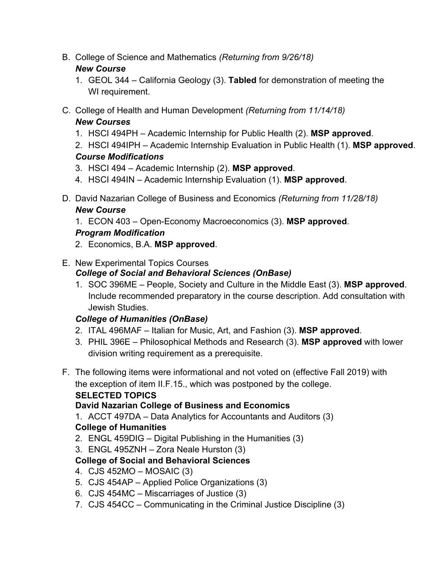B. College of Science and Mathematics *(Returning from 9/26/18)*

### *New Course*

- 1. GEOL 344 California Geology (3). **Tabled** for demonstration of meeting the WI requirement.
- C. College of Health and Human Development *(Returning from 11/14/18) New Courses*
	- 1. HSCI 494PH Academic Internship for Public Health (2). **MSP approved**.
	- 2. HSCI 494IPH Academic Internship Evaluation in Public Health (1). **MSP approved**. *Course Modifications*
	- 3. HSCI 494 Academic Internship (2). **MSP approved**.
	- 4. HSCI 494IN Academic Internship Evaluation (1). **MSP approved**.
- D. David Nazarian College of Business and Economics *(Returning from 11/28/18) New Course*
	- 1. ECON 403 Open-Economy Macroeconomics (3). **MSP approved**.

### *Program Modification*

- 2. Economics, B.A. **MSP approved**.
- E. New Experimental Topics Courses
	- *College of Social and Behavioral Sciences (OnBase)*
	- 1. SOC 396ME People, Society and Culture in the Middle East (3). **MSP approved**. Include recommended preparatory in the course description. Add consultation with Jewish Studies.

### *College of Humanities (OnBase)*

- 2. ITAL 496MAF Italian for Music, Art, and Fashion (3). **MSP approved**.
- 3. PHIL 396E Philosophical Methods and Research (3). **MSP approved** with lower division writing requirement as a prerequisite.
- F. The following items were informational and not voted on (effective Fall 2019) with the exception of item II.F.15., which was postponed by the college.

### **SELECTED TOPICS**

## **David Nazarian College of Business and Economics**

1. ACCT 497DA – Data Analytics for Accountants and Auditors (3)

## **College of Humanities**

- 2. ENGL 459DIG Digital Publishing in the Humanities (3)
- 3. ENGL 495ZNH Zora Neale Hurston (3)

## **College of Social and Behavioral Sciences**

- 4. CJS 452MO MOSAIC (3)
- 5. CJS 454AP Applied Police Organizations (3)
- 6. CJS 454MC Miscarriages of Justice (3)
- 7. CJS 454CC Communicating in the Criminal Justice Discipline (3)